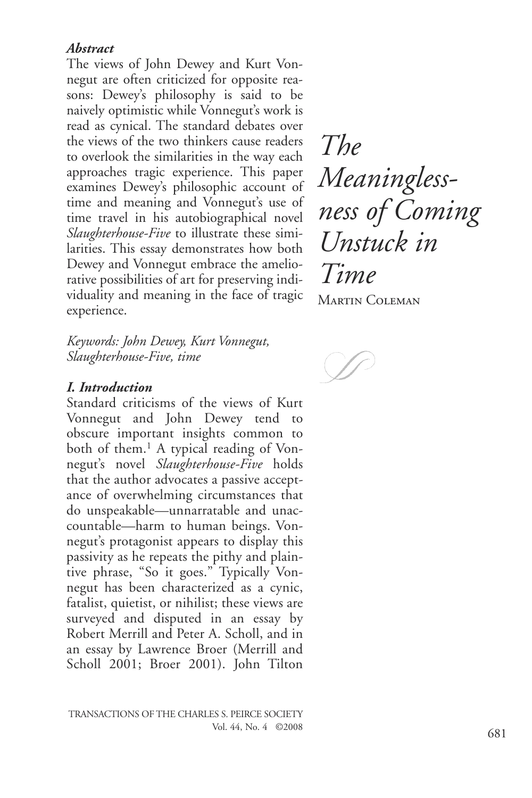## *Abstract*

The views of John Dewey and Kurt Vonnegut are often criticized for opposite reasons: Dewey's philosophy is said to be naively optimistic while Vonnegut's work is read as cynical. The standard debates over the views of the two thinkers cause readers to overlook the similarities in the way each approaches tragic experience. This paper examines Dewey's philosophic account of time and meaning and Vonnegut's use of time travel in his autobiographical novel *Slaughterhouse-Five* to illustrate these similarities. This essay demonstrates how both Dewey and Vonnegut embrace the ameliorative possibilities of art for preserving individuality and meaning in the face of tragic experience.

*Keywords: John Dewey, Kurt Vonnegut, Slaughterhouse-Five, time*

### *I. Introduction*

Standard criticisms of the views of Kurt Vonnegut and John Dewey tend to obscure important insights common to both of them.<sup>1</sup> A typical reading of Vonnegut's novel *Slaughterhouse-Five* holds that the author advocates a passive acceptance of overwhelming circumstances that do unspeakable—unnarratable and unaccountable—harm to human beings. Vonnegut's protagonist appears to display this passivity as he repeats the pithy and plaintive phrase, "So it goes." Typically Vonnegut has been characterized as a cynic, fatalist, quietist, or nihilist; these views are surveyed and disputed in an essay by Robert Merrill and Peter A. Scholl, and in an essay by Lawrence Broer (Merrill and Scholl 2001; Broer 2001). John Tilton

*The Meaningless ness of Coming Unstuck in Time* Martin Coleman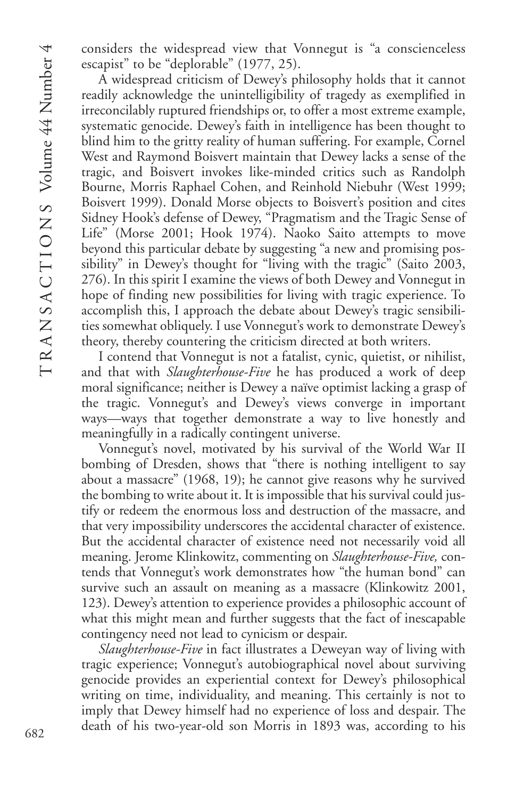considers the widespread view that Vonnegut is "a conscienceless escapist" to be "deplorable" (1977, 25).

A widespread criticism of Dewey's philosophy holds that it cannot readily acknowledge the unintelligibility of tragedy as exemplified in irreconcilably ruptured friendships or, to offer a most extreme example, systematic genocide. Dewey's faith in intelligence has been thought to blind him to the gritty reality of human suffering. For example, Cornel West and Raymond Boisvert maintain that Dewey lacks a sense of the tragic, and Boisvert invokes like-minded critics such as Randolph Bourne, Morris Raphael Cohen, and Reinhold Niebuhr (West 1999; Boisvert 1999). Donald Morse objects to Boisvert's position and cites Sidney Hook's defense of Dewey, "Pragmatism and the Tragic Sense of Life" (Morse 2001; Hook 1974). Naoko Saito attempts to move beyond this particular debate by suggesting "a new and promising possibility" in Dewey's thought for "living with the tragic" (Saito 2003, 276). In this spirit I examine the views of both Dewey and Vonnegut in hope of finding new possibilities for living with tragic experience. To accomplish this, I approach the debate about Dewey's tragic sensibilities somewhat obliquely. I use Vonnegut's work to demonstrate Dewey's theory, thereby countering the criticism directed at both writers.

I contend that Vonnegut is not a fatalist, cynic, quietist, or nihilist, and that with *Slaughterhouse-Five* he has produced a work of deep moral significance; neither is Dewey a naïve optimist lacking a grasp of the tragic. Vonnegut's and Dewey's views converge in important ways—ways that together demonstrate a way to live honestly and meaningfully in a radically contingent universe.

Vonnegut's novel, motivated by his survival of the World War II bombing of Dresden, shows that "there is nothing intelligent to say about a massacre" (1968, 19); he cannot give reasons why he survived the bombing to write about it. It is impossible that his survival could justify or redeem the enormous loss and destruction of the massacre, and that very impossibility underscores the accidental character of existence. But the accidental character of existence need not necessarily void all meaning. Jerome Klinkowitz, commenting on *Slaughterhouse-Five,* contends that Vonnegut's work demonstrates how "the human bond" can survive such an assault on meaning as a massacre (Klinkowitz 2001, 123). Dewey's attention to experience provides a philosophic account of what this might mean and further suggests that the fact of inescapable contingency need not lead to cynicism or despair.

*Slaughterhouse-Five* in fact illustrates a Deweyan way of living with tragic experience; Vonnegut's autobiographical novel about surviving genocide provides an experiential context for Dewey's philosophical writing on time, individuality, and meaning. This certainly is not to imply that Dewey himself had no experience of loss and despair. The death of his two-year-old son Morris in 1893 was, according to his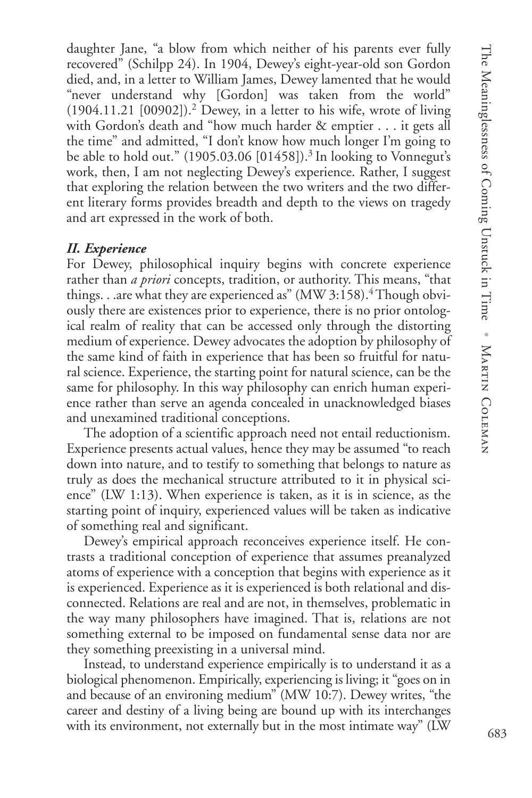daughter Jane, "a blow from which neither of his parents ever fully recovered" (Schilpp 24). In 1904, Dewey's eight-year-old son Gordon died, and, in a letter to William James, Dewey lamented that he would "never understand why [Gordon] was taken from the world"  $(1904.11.21 \,[00902])$ .<sup>2</sup> Dewey, in a letter to his wife, wrote of living with Gordon's death and "how much harder & emptier . . . it gets all the time" and admitted, "I don't know how much longer I'm going to be able to hold out."  $(1905.03.06\,[01458])$ .<sup>3</sup> In looking to Vonnegut's work, then, I am not neglecting Dewey's experience. Rather, I suggest that exploring the relation between the two writers and the two different literary forms provides breadth and depth to the views on tragedy and art expressed in the work of both.

## *II. Experience*

For Dewey, philosophical inquiry begins with concrete experience rather than *a priori* concepts, tradition, or authority. This means, "that things. . .are what they are experienced as"  $(MW 3:158)$ .<sup>4</sup> Though obviously there are existences prior to experience, there is no prior ontological realm of reality that can be accessed only through the distorting medium of experience. Dewey advocates the adoption by philosophy of the same kind of faith in experience that has been so fruitful for natural science. Experience, the starting point for natural science, can be the same for philosophy. In this way philosophy can enrich human experience rather than serve an agenda concealed in unacknowledged biases and unexamined traditional conceptions.

The adoption of a scientific approach need not entail reductionism. Experience presents actual values, hence they may be assumed "to reach down into nature, and to testify to something that belongs to nature as truly as does the mechanical structure attributed to it in physical science" (LW 1:13). When experience is taken, as it is in science, as the starting point of inquiry, experienced values will be taken as indicative of something real and significant.

Dewey's empirical approach reconceives experience itself. He contrasts a traditional conception of experience that assumes preanalyzed atoms of experience with a conception that begins with experience as it is experienced. Experience as it is experienced is both relational and disconnected. Relations are real and are not, in themselves, problematic in the way many philosophers have imagined. That is, relations are not something external to be imposed on fundamental sense data nor are they something preexisting in a universal mind.

Instead, to understand experience empirically is to understand it as a biological phenomenon. Empirically, experiencing is living; it "goes on in and because of an environing medium" (MW 10:7). Dewey writes, "the career and destiny of a living being are bound up with its interchanges with its environment, not externally but in the most intimate way" (LW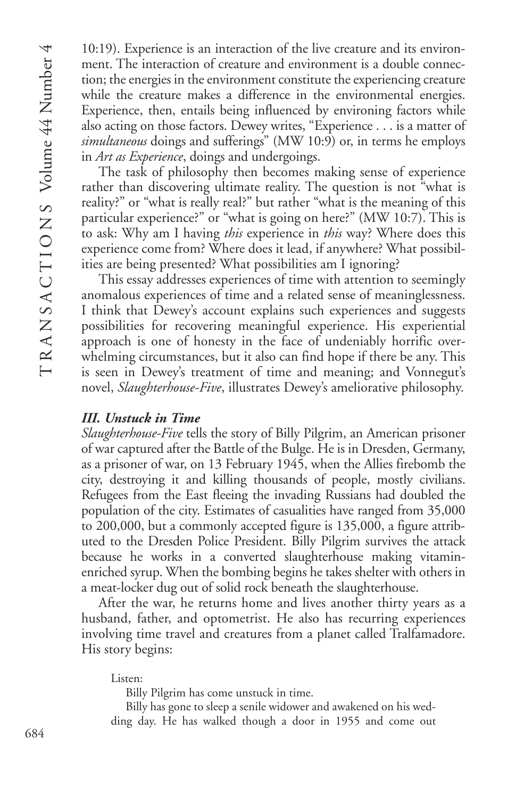10:19). Experience is an interaction of the live creature and its environment. The interaction of creature and environment is a double connection; the energies in the environment constitute the experiencing creature while the creature makes a difference in the environmental energies. Experience, then, entails being influenced by environing factors while also acting on those factors. Dewey writes, "Experience . . . is a matter of *simultaneous* doings and sufferings" (MW 10:9) or, in terms he employs in *Art as Experience*, doings and undergoings.

The task of philosophy then becomes making sense of experience rather than discovering ultimate reality. The question is not "what is reality?" or "what is really real?" but rather "what is the meaning of this particular experience?" or "what is going on here?" (MW 10:7). This is to ask: Why am I having *this* experience in *this* way? Where does this experience come from? Where does it lead, if anywhere? What possibilities are being presented? What possibilities am I ignoring?

This essay addresses experiences of time with attention to seemingly anomalous experiences of time and a related sense of meaninglessness. I think that Dewey's account explains such experiences and suggests possibilities for recovering meaningful experience. His experiential approach is one of honesty in the face of undeniably horrific overwhelming circumstances, but it also can find hope if there be any. This is seen in Dewey's treatment of time and meaning; and Vonnegut's novel, *Slaughterhouse-Five*, illustrates Dewey's ameliorative philosophy.

## *III. Unstuck in Time*

*Slaughterhouse-Five* tells the story of Billy Pilgrim, an American prisoner of war captured after the Battle of the Bulge. He is in Dresden, Germany, as a prisoner of war, on 13 February 1945, when the Allies firebomb the city, destroying it and killing thousands of people, mostly civilians. Refugees from the East fleeing the invading Russians had doubled the population of the city. Estimates of casualities have ranged from 35,000 to 200,000, but a commonly accepted figure is 135,000, a figure attributed to the Dresden Police President. Billy Pilgrim survives the attack because he works in a converted slaughterhouse making vitaminenriched syrup. When the bombing begins he takes shelter with others in a meat-locker dug out of solid rock beneath the slaughterhouse.

After the war, he returns home and lives another thirty years as a husband, father, and optometrist. He also has recurring experiences involving time travel and creatures from a planet called Tralfamadore. His story begins:

Listen:

Billy Pilgrim has come unstuck in time.

Billy has gone to sleep a senile widower and awakened on his wedding day. He has walked though a door in 1955 and come out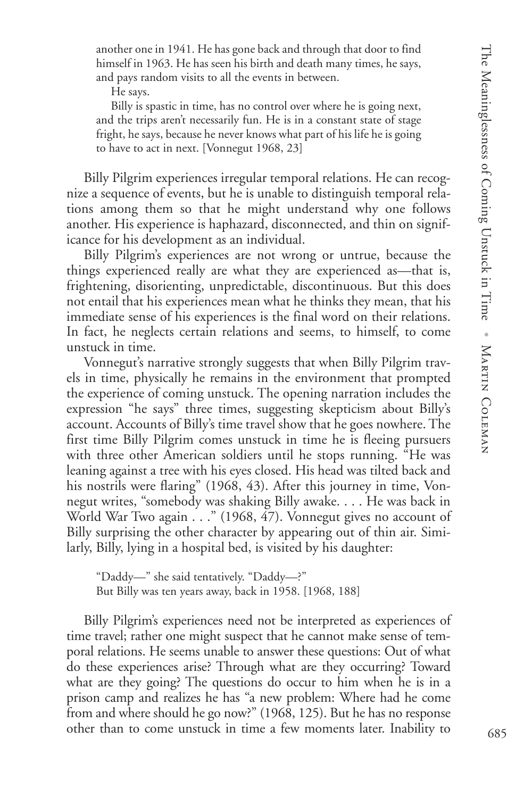another one in 1941. He has gone back and through that door to find himself in 1963. He has seen his birth and death many times, he says, and pays random visits to all the events in between.

He says.

Billy is spastic in time, has no control over where he is going next, and the trips aren't necessarily fun. He is in a constant state of stage fright, he says, because he never knows what part of his life he is going to have to act in next. [Vonnegut 1968, 23]

Billy Pilgrim experiences irregular temporal relations. He can recognize a sequence of events, but he is unable to distinguish temporal relations among them so that he might understand why one follows another. His experience is haphazard, disconnected, and thin on significance for his development as an individual.

Billy Pilgrim's experiences are not wrong or untrue, because the things experienced really are what they are experienced as—that is, frightening, disorienting, unpredictable, discontinuous. But this does not entail that his experiences mean what he thinks they mean, that his immediate sense of his experiences is the final word on their relations. In fact, he neglects certain relations and seems, to himself, to come unstuck in time.

Vonnegut's narrative strongly suggests that when Billy Pilgrim travels in time, physically he remains in the environment that prompted the experience of coming unstuck. The opening narration includes the expression "he says" three times, suggesting skepticism about Billy's account. Accounts of Billy's time travel show that he goes nowhere. The first time Billy Pilgrim comes unstuck in time he is fleeing pursuers with three other American soldiers until he stops running. "He was leaning against a tree with his eyes closed. His head was tilted back and his nostrils were flaring" (1968, 43). After this journey in time, Vonnegut writes, "somebody was shaking Billy awake. . . . He was back in World War Two again . . ." (1968, 47). Vonnegut gives no account of Billy surprising the other character by appearing out of thin air. Similarly, Billy, lying in a hospital bed, is visited by his daughter:

"Daddy—" she said tentatively. "Daddy—?" But Billy was ten years away, back in 1958. [1968, 188]

Billy Pilgrim's experiences need not be interpreted as experiences of time travel; rather one might suspect that he cannot make sense of temporal relations. He seems unable to answer these questions: Out of what do these experiences arise? Through what are they occurring? Toward what are they going? The questions do occur to him when he is in a prison camp and realizes he has "a new problem: Where had he come from and where should he go now?" (1968, 125). But he has no response other than to come unstuck in time a few moments later. Inability to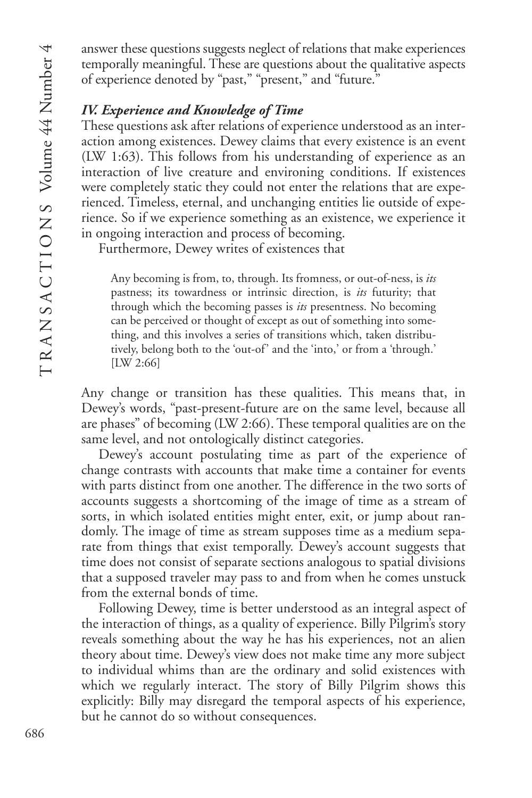answer these questions suggests neglect of relations that make experiences temporally meaningful. These are questions about the qualitative aspects of experience denoted by "past," "present," and "future."

## *IV. Experience and Knowledge of Time*

These questions ask after relations of experience understood as an interaction among existences. Dewey claims that every existence is an event (LW 1:63). This follows from his understanding of experience as an interaction of live creature and environing conditions. If existences were completely static they could not enter the relations that are experienced. Timeless, eternal, and unchanging entities lie outside of experience. So if we experience something as an existence, we experience it in ongoing interaction and process of becoming.

Furthermore, Dewey writes of existences that

Any becoming is from, to, through. Its fromness, or out-of-ness, is *its* pastness; its towardness or intrinsic direction, is *its* futurity; that through which the becoming passes is *its* presentness. No becoming can be perceived or thought of except as out of something into something, and this involves a series of transitions which, taken distributively, belong both to the 'out-of' and the 'into,' or from a 'through.' [LW 2:66]

Any change or transition has these qualities. This means that, in Dewey's words, "past-present-future are on the same level, because all are phases" of becoming (LW 2:66). These temporal qualities are on the same level, and not ontologically distinct categories.

Dewey's account postulating time as part of the experience of change contrasts with accounts that make time a container for events with parts distinct from one another. The difference in the two sorts of accounts suggests a shortcoming of the image of time as a stream of sorts, in which isolated entities might enter, exit, or jump about randomly. The image of time as stream supposes time as a medium separate from things that exist temporally. Dewey's account suggests that time does not consist of separate sections analogous to spatial divisions that a supposed traveler may pass to and from when he comes unstuck from the external bonds of time.

Following Dewey, time is better understood as an integral aspect of the interaction of things, as a quality of experience. Billy Pilgrim's story reveals something about the way he has his experiences, not an alien theory about time. Dewey's view does not make time any more subject to individual whims than are the ordinary and solid existences with which we regularly interact. The story of Billy Pilgrim shows this explicitly: Billy may disregard the temporal aspects of his experience, but he cannot do so without consequences.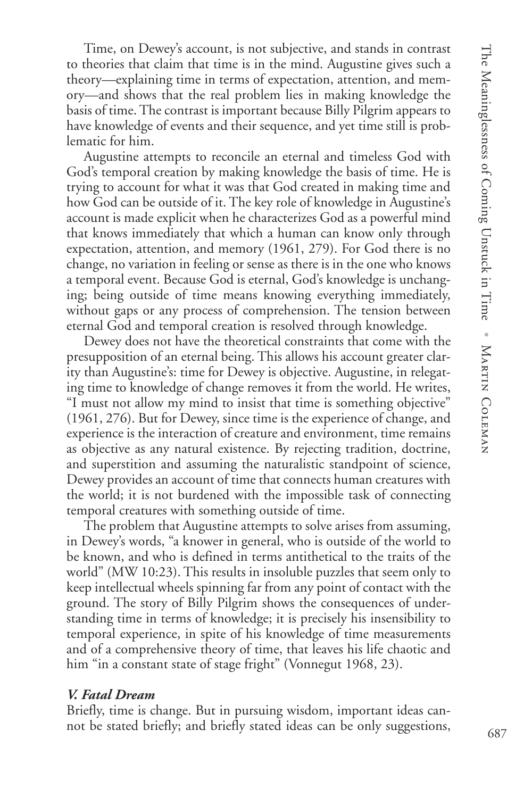Time, on Dewey's account, is not subjective, and stands in contrast to theories that claim that time is in the mind. Augustine gives such a theory—explaining time in terms of expectation, attention, and memory—and shows that the real problem lies in making knowledge the basis of time. The contrast is important because Billy Pilgrim appears to have knowledge of events and their sequence, and yet time still is problematic for him.

Augustine attempts to reconcile an eternal and timeless God with God's temporal creation by making knowledge the basis of time. He is trying to account for what it was that God created in making time and how God can be outside of it. The key role of knowledge in Augustine's account is made explicit when he characterizes God as a powerful mind that knows immediately that which a human can know only through expectation, attention, and memory (1961, 279). For God there is no change, no variation in feeling or sense as there is in the one who knows a temporal event. Because God is eternal, God's knowledge is unchanging; being outside of time means knowing everything immediately, without gaps or any process of comprehension. The tension between eternal God and temporal creation is resolved through knowledge.

Dewey does not have the theoretical constraints that come with the presupposition of an eternal being. This allows his account greater clarity than Augustine's: time for Dewey is objective. Augustine, in relegating time to knowledge of change removes it from the world. He writes, "I must not allow my mind to insist that time is something objective" (1961, 276). But for Dewey, since time is the experience of change, and experience is the interaction of creature and environment, time remains as objective as any natural existence. By rejecting tradition, doctrine, and superstition and assuming the naturalistic standpoint of science, Dewey provides an account of time that connects human creatures with the world; it is not burdened with the impossible task of connecting temporal creatures with something outside of time.

The problem that Augustine attempts to solve arises from assuming, in Dewey's words, "a knower in general, who is outside of the world to be known, and who is defined in terms antithetical to the traits of the world" (MW 10:23). This results in insoluble puzzles that seem only to keep intellectual wheels spinning far from any point of contact with the ground. The story of Billy Pilgrim shows the consequences of understanding time in terms of knowledge; it is precisely his insensibility to temporal experience, in spite of his knowledge of time measurements and of a comprehensive theory of time, that leaves his life chaotic and him "in a constant state of stage fright" (Vonnegut 1968, 23).

## *V. Fatal Dream*

Briefly, time is change. But in pursuing wisdom, important ideas cannot be stated briefly; and briefly stated ideas can be only suggestions,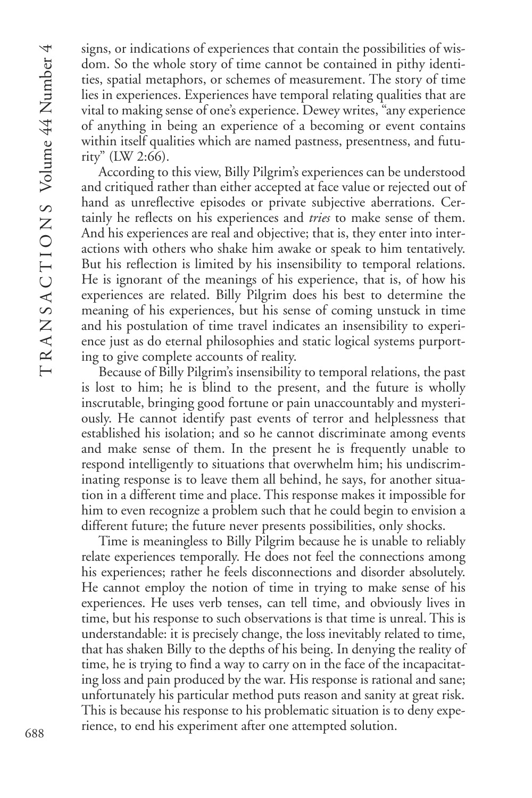signs, or indications of experiences that contain the possibilities of wisdom. So the whole story of time cannot be contained in pithy identities, spatial metaphors, or schemes of measurement. The story of time lies in experiences. Experiences have temporal relating qualities that are vital to making sense of one's experience. Dewey writes, "any experience of anything in being an experience of a becoming or event contains within itself qualities which are named pastness, presentness, and futurity" (LW 2:66).

According to this view, Billy Pilgrim's experiences can be understood and critiqued rather than either accepted at face value or rejected out of hand as unreflective episodes or private subjective aberrations. Certainly he reflects on his experiences and *tries* to make sense of them. And his experiences are real and objective; that is, they enter into interactions with others who shake him awake or speak to him tentatively. But his reflection is limited by his insensibility to temporal relations. He is ignorant of the meanings of his experience, that is, of how his experiences are related. Billy Pilgrim does his best to determine the meaning of his experiences, but his sense of coming unstuck in time and his postulation of time travel indicates an insensibility to experience just as do eternal philosophies and static logical systems purporting to give complete accounts of reality.

Because of Billy Pilgrim's insensibility to temporal relations, the past is lost to him; he is blind to the present, and the future is wholly inscrutable, bringing good fortune or pain unaccountably and mysteriously. He cannot identify past events of terror and helplessness that established his isolation; and so he cannot discriminate among events and make sense of them. In the present he is frequently unable to respond intelligently to situations that overwhelm him; his undiscriminating response is to leave them all behind, he says, for another situation in a different time and place. This response makes it impossible for him to even recognize a problem such that he could begin to envision a different future; the future never presents possibilities, only shocks.

Time is meaningless to Billy Pilgrim because he is unable to reliably relate experiences temporally. He does not feel the connections among his experiences; rather he feels disconnections and disorder absolutely. He cannot employ the notion of time in trying to make sense of his experiences. He uses verb tenses, can tell time, and obviously lives in time, but his response to such observations is that time is unreal. This is understandable: it is precisely change, the loss inevitably related to time, that has shaken Billy to the depths of his being. In denying the reality of time, he is trying to find a way to carry on in the face of the incapacitating loss and pain produced by the war. His response is rational and sane; unfortunately his particular method puts reason and sanity at great risk. This is because his response to his problematic situation is to deny experience, to end his experiment after one attempted solution.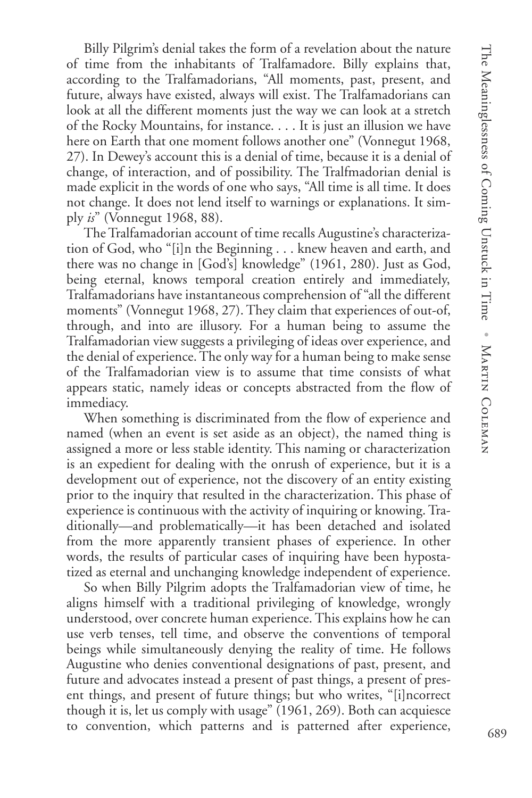Billy Pilgrim's denial takes the form of a revelation about the nature of time from the inhabitants of Tralfamadore. Billy explains that, according to the Tralfamadorians, "All moments, past, present, and future, always have existed, always will exist. The Tralfamadorians can look at all the different moments just the way we can look at a stretch of the Rocky Mountains, for instance. . . . It is just an illusion we have here on Earth that one moment follows another one" (Vonnegut 1968, 27). In Dewey's account this is a denial of time, because it is a denial of change, of interaction, and of possibility. The Tralfmadorian denial is made explicit in the words of one who says, "All time is all time. It does not change. It does not lend itself to warnings or explanations. It simply *is*" (Vonnegut 1968, 88).

The Tralfamadorian account of time recalls Augustine's characterization of God, who "[i]n the Beginning . . . knew heaven and earth, and there was no change in [God's] knowledge" (1961, 280). Just as God, being eternal, knows temporal creation entirely and immediately, Tralfamadorians have instantaneous comprehension of "all the different moments" (Vonnegut 1968, 27). They claim that experiences of out-of, through, and into are illusory. For a human being to assume the Tralfamadorian view suggests a privileging of ideas over experience, and the denial of experience. The only way for a human being to make sense of the Tralfamadorian view is to assume that time consists of what appears static, namely ideas or concepts abstracted from the flow of immediacy.

When something is discriminated from the flow of experience and named (when an event is set aside as an object), the named thing is assigned a more or less stable identity. This naming or characterization is an expedient for dealing with the onrush of experience, but it is a development out of experience, not the discovery of an entity existing prior to the inquiry that resulted in the characterization. This phase of experience is continuous with the activity of inquiring or knowing. Traditionally—and problematically—it has been detached and isolated from the more apparently transient phases of experience. In other words, the results of particular cases of inquiring have been hypostatized as eternal and unchanging knowledge independent of experience.

So when Billy Pilgrim adopts the Tralfamadorian view of time, he aligns himself with a traditional privileging of knowledge, wrongly understood, over concrete human experience. This explains how he can use verb tenses, tell time, and observe the conventions of temporal beings while simultaneously denying the reality of time. He follows Augustine who denies conventional designations of past, present, and future and advocates instead a present of past things, a present of present things, and present of future things; but who writes, "[i]ncorrect though it is, let us comply with usage" (1961, 269). Both can acquiesce to convention, which patterns and is patterned after experience,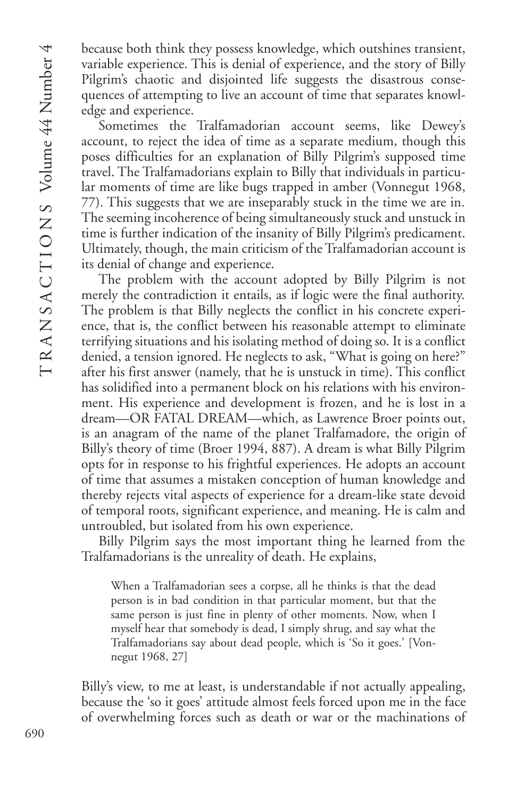because both think they possess knowledge, which outshines transient, variable experience. This is denial of experience, and the story of Billy Pilgrim's chaotic and disjointed life suggests the disastrous consequences of attempting to live an account of time that separates knowledge and experience.

Sometimes the Tralfamadorian account seems, like Dewey's account, to reject the idea of time as a separate medium, though this poses difficulties for an explanation of Billy Pilgrim's supposed time travel. The Tralfamadorians explain to Billy that individuals in particular moments of time are like bugs trapped in amber (Vonnegut 1968, 77). This suggests that we are inseparably stuck in the time we are in. The seeming incoherence of being simultaneously stuck and unstuck in time is further indication of the insanity of Billy Pilgrim's predicament. Ultimately, though, the main criticism of the Tralfamadorian account is its denial of change and experience.

The problem with the account adopted by Billy Pilgrim is not merely the contradiction it entails, as if logic were the final authority. The problem is that Billy neglects the conflict in his concrete experience, that is, the conflict between his reasonable attempt to eliminate terrifying situations and his isolating method of doing so. It is a conflict denied, a tension ignored. He neglects to ask, "What is going on here?" after his first answer (namely, that he is unstuck in time). This conflict has solidified into a permanent block on his relations with his environment. His experience and development is frozen, and he is lost in a dream—OR FATAL DREAM—which, as Lawrence Broer points out, is an anagram of the name of the planet Tralfamadore, the origin of Billy's theory of time (Broer 1994, 887). A dream is what Billy Pilgrim opts for in response to his frightful experiences. He adopts an account of time that assumes a mistaken conception of human knowledge and thereby rejects vital aspects of experience for a dream-like state devoid of temporal roots, significant experience, and meaning. He is calm and untroubled, but isolated from his own experience.

Billy Pilgrim says the most important thing he learned from the Tralfamadorians is the unreality of death. He explains,

When a Tralfamadorian sees a corpse, all he thinks is that the dead person is in bad condition in that particular moment, but that the same person is just fine in plenty of other moments. Now, when I myself hear that somebody is dead, I simply shrug, and say what the Tralfamadorians say about dead people, which is 'So it goes.' [Vonnegut 1968, 27]

Billy's view, to me at least, is understandable if not actually appealing, because the 'so it goes' attitude almost feels forced upon me in the face of overwhelming forces such as death or war or the machinations of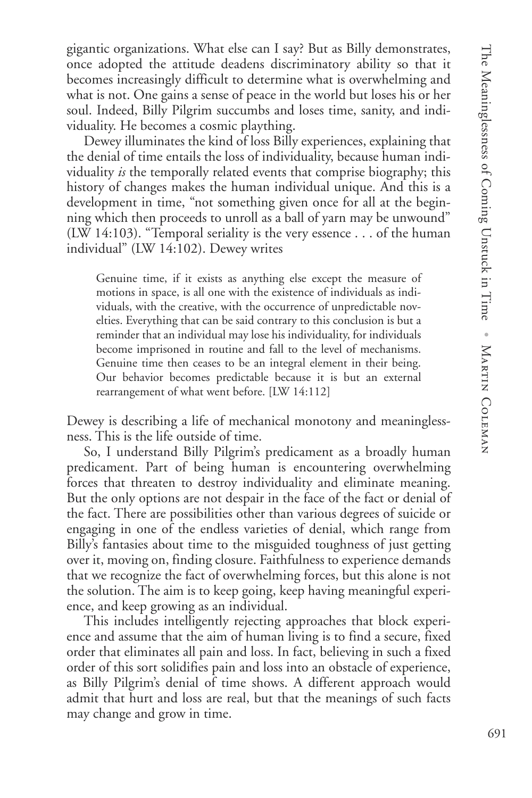gigantic organizations. What else can I say? But as Billy demonstrates, once adopted the attitude deadens discriminatory ability so that it becomes increasingly difficult to determine what is overwhelming and what is not. One gains a sense of peace in the world but loses his or her soul. Indeed, Billy Pilgrim succumbs and loses time, sanity, and individuality. He becomes a cosmic plaything.

Dewey illuminates the kind of loss Billy experiences, explaining that the denial of time entails the loss of individuality, because human individuality *is* the temporally related events that comprise biography; this history of changes makes the human individual unique. And this is a development in time, "not something given once for all at the beginning which then proceeds to unroll as a ball of yarn may be unwound" (LW 14:103). "Temporal seriality is the very essence . . . of the human individual" (LW 14:102). Dewey writes

Genuine time, if it exists as anything else except the measure of motions in space, is all one with the existence of individuals as individuals, with the creative, with the occurrence of unpredictable novelties. Everything that can be said contrary to this conclusion is but a reminder that an individual may lose his individuality, for individuals become imprisoned in routine and fall to the level of mechanisms. Genuine time then ceases to be an integral element in their being. Our behavior becomes predictable because it is but an external rearrangement of what went before. [LW 14:112]

Dewey is describing a life of mechanical monotony and meaninglessness. This is the life outside of time.

So, I understand Billy Pilgrim's predicament as a broadly human predicament. Part of being human is encountering overwhelming forces that threaten to destroy individuality and eliminate meaning. But the only options are not despair in the face of the fact or denial of the fact. There are possibilities other than various degrees of suicide or engaging in one of the endless varieties of denial, which range from Billy's fantasies about time to the misguided toughness of just getting over it, moving on, finding closure. Faithfulness to experience demands that we recognize the fact of overwhelming forces, but this alone is not the solution. The aim is to keep going, keep having meaningful experience, and keep growing as an individual.

This includes intelligently rejecting approaches that block experience and assume that the aim of human living is to find a secure, fixed order that eliminates all pain and loss. In fact, believing in such a fixed order of this sort solidifies pain and loss into an obstacle of experience, as Billy Pilgrim's denial of time shows. A different approach would admit that hurt and loss are real, but that the meanings of such facts may change and grow in time.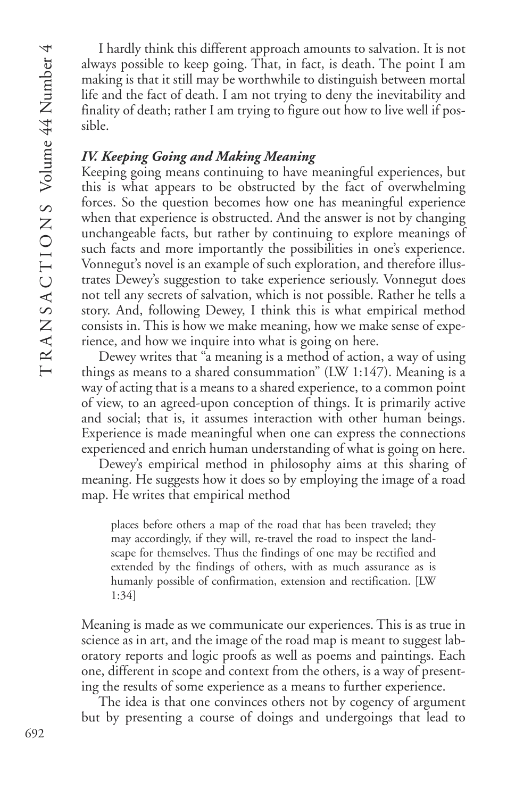I hardly think this different approach amounts to salvation. It is not always possible to keep going. That, in fact, is death. The point I am making is that it still may be worthwhile to distinguish between mortal life and the fact of death. I am not trying to deny the inevitability and finality of death; rather I am trying to figure out how to live well if possible.

# *IV. Keeping Going and Making Meaning*

Keeping going means continuing to have meaningful experiences, but this is what appears to be obstructed by the fact of overwhelming forces. So the question becomes how one has meaningful experience when that experience is obstructed. And the answer is not by changing unchangeable facts, but rather by continuing to explore meanings of such facts and more importantly the possibilities in one's experience. Vonnegut's novel is an example of such exploration, and therefore illustrates Dewey's suggestion to take experience seriously. Vonnegut does not tell any secrets of salvation, which is not possible. Rather he tells a story. And, following Dewey, I think this is what empirical method consists in. This is how we make meaning, how we make sense of experience, and how we inquire into what is going on here.

Dewey writes that "a meaning is a method of action, a way of using things as means to a shared consummation" (LW 1:147). Meaning is a way of acting that is a means to a shared experience, to a common point of view, to an agreed-upon conception of things. It is primarily active and social; that is, it assumes interaction with other human beings. Experience is made meaningful when one can express the connections experienced and enrich human understanding of what is going on here.

Dewey's empirical method in philosophy aims at this sharing of meaning. He suggests how it does so by employing the image of a road map. He writes that empirical method

places before others a map of the road that has been traveled; they may accordingly, if they will, re-travel the road to inspect the landscape for themselves. Thus the findings of one may be rectified and extended by the findings of others, with as much assurance as is humanly possible of confirmation, extension and rectification. [LW 1:34]

Meaning is made as we communicate our experiences. This is as true in science as in art, and the image of the road map is meant to suggest laboratory reports and logic proofs as well as poems and paintings. Each one, different in scope and context from the others, is a way of presenting the results of some experience as a means to further experience.

The idea is that one convinces others not by cogency of argument but by presenting a course of doings and undergoings that lead to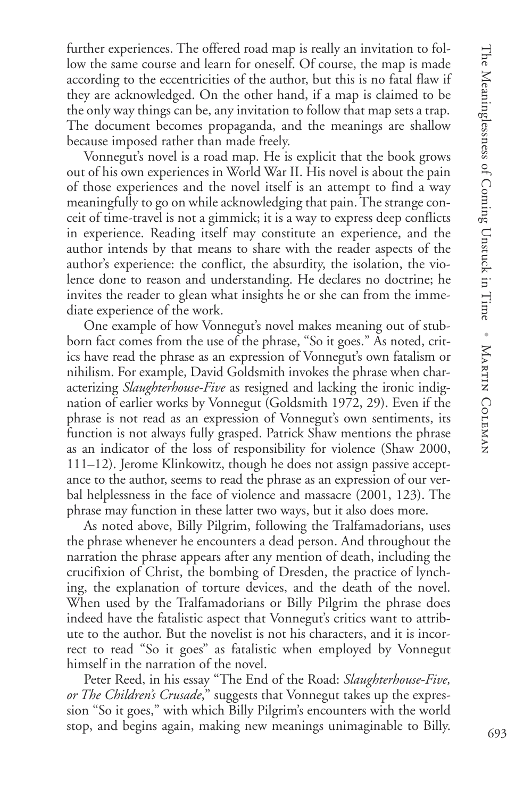further experiences. The offered road map is really an invitation to follow the same course and learn for oneself. Of course, the map is made according to the eccentricities of the author, but this is no fatal flaw if they are acknowledged. On the other hand, if a map is claimed to be the only way things can be, any invitation to follow that map sets a trap. The document becomes propaganda, and the meanings are shallow because imposed rather than made freely.

Vonnegut's novel is a road map. He is explicit that the book grows out of his own experiences in World War II. His novel is about the pain of those experiences and the novel itself is an attempt to find a way meaningfully to go on while acknowledging that pain. The strange conceit of time-travel is not a gimmick; it is a way to express deep conflicts in experience. Reading itself may constitute an experience, and the author intends by that means to share with the reader aspects of the author's experience: the conflict, the absurdity, the isolation, the violence done to reason and understanding. He declares no doctrine; he invites the reader to glean what insights he or she can from the immediate experience of the work.

One example of how Vonnegut's novel makes meaning out of stubborn fact comes from the use of the phrase, "So it goes." As noted, critics have read the phrase as an expression of Vonnegut's own fatalism or nihilism. For example, David Goldsmith invokes the phrase when characterizing *Slaughterhouse-Five* as resigned and lacking the ironic indignation of earlier works by Vonnegut (Goldsmith 1972, 29). Even if the phrase is not read as an expression of Vonnegut's own sentiments, its function is not always fully grasped. Patrick Shaw mentions the phrase as an indicator of the loss of responsibility for violence (Shaw 2000, 111–12). Jerome Klinkowitz, though he does not assign passive acceptance to the author, seems to read the phrase as an expression of our verbal helplessness in the face of violence and massacre (2001, 123). The phrase may function in these latter two ways, but it also does more.

As noted above, Billy Pilgrim, following the Tralfamadorians, uses the phrase whenever he encounters a dead person. And throughout the narration the phrase appears after any mention of death, including the crucifixion of Christ, the bombing of Dresden, the practice of lynching, the explanation of torture devices, and the death of the novel. When used by the Tralfamadorians or Billy Pilgrim the phrase does indeed have the fatalistic aspect that Vonnegut's critics want to attribute to the author. But the novelist is not his characters, and it is incorrect to read "So it goes" as fatalistic when employed by Vonnegut himself in the narration of the novel.

Peter Reed, in his essay "The End of the Road: *Slaughterhouse-Five, or The Children's Crusade*," suggests that Vonnegut takes up the expression "So it goes," with which Billy Pilgrim's encounters with the world stop, and begins again, making new meanings unimaginable to Billy.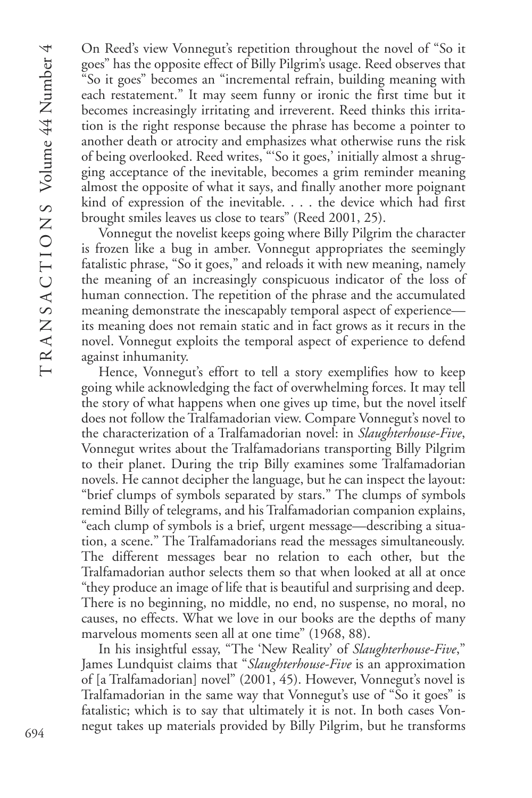On Reed's view Vonnegut's repetition throughout the novel of "So it goes" has the opposite effect of Billy Pilgrim's usage. Reed observes that "So it goes" becomes an "incremental refrain, building meaning with each restatement." It may seem funny or ironic the first time but it becomes increasingly irritating and irreverent. Reed thinks this irritation is the right response because the phrase has become a pointer to another death or atrocity and emphasizes what otherwise runs the risk of being overlooked. Reed writes, "'So it goes,' initially almost a shrugging acceptance of the inevitable, becomes a grim reminder meaning almost the opposite of what it says, and finally another more poignant kind of expression of the inevitable. . . . the device which had first brought smiles leaves us close to tears" (Reed 2001, 25).

Vonnegut the novelist keeps going where Billy Pilgrim the character is frozen like a bug in amber. Vonnegut appropriates the seemingly fatalistic phrase, "So it goes," and reloads it with new meaning, namely the meaning of an increasingly conspicuous indicator of the loss of human connection. The repetition of the phrase and the accumulated meaning demonstrate the inescapably temporal aspect of experience its meaning does not remain static and in fact grows as it recurs in the novel. Vonnegut exploits the temporal aspect of experience to defend against inhumanity.

Hence, Vonnegut's effort to tell a story exemplifies how to keep going while acknowledging the fact of overwhelming forces. It may tell the story of what happens when one gives up time, but the novel itself does not follow the Tralfamadorian view. Compare Vonnegut's novel to the characterization of a Tralfamadorian novel: in *Slaughterhouse-Five*, Vonnegut writes about the Tralfamadorians transporting Billy Pilgrim to their planet. During the trip Billy examines some Tralfamadorian novels. He cannot decipher the language, but he can inspect the layout: "brief clumps of symbols separated by stars." The clumps of symbols remind Billy of telegrams, and his Tralfamadorian companion explains, "each clump of symbols is a brief, urgent message—describing a situation, a scene." The Tralfamadorians read the messages simultaneously. The different messages bear no relation to each other, but the Tralfamadorian author selects them so that when looked at all at once "they produce an image of life that is beautiful and surprising and deep. There is no beginning, no middle, no end, no suspense, no moral, no causes, no effects. What we love in our books are the depths of many marvelous moments seen all at one time" (1968, 88).

In his insightful essay, "The 'New Reality' of *Slaughterhouse-Five*," James Lundquist claims that "*Slaughterhouse-Five* is an approximation of [a Tralfamadorian] novel" (2001, 45). However, Vonnegut's novel is Tralfamadorian in the same way that Vonnegut's use of "So it goes" is fatalistic; which is to say that ultimately it is not. In both cases Vonnegut takes up materials provided by Billy Pilgrim, but he transforms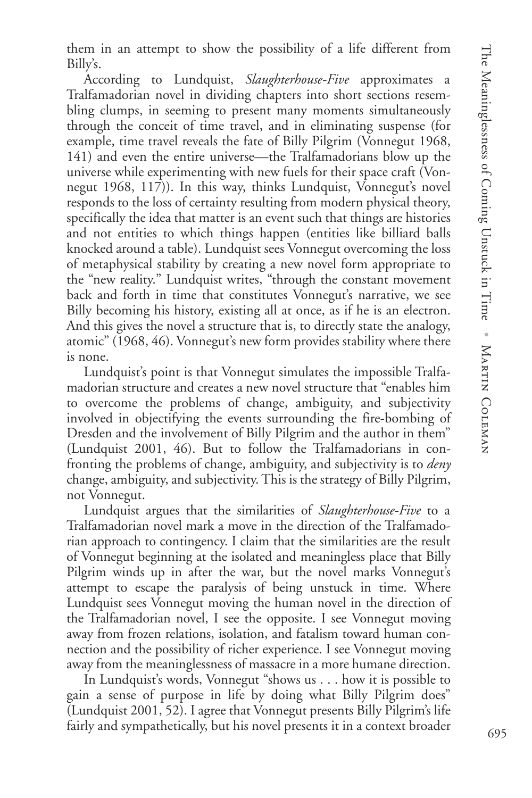them in an attempt to show the possibility of a life different from Billy's.

According to Lundquist, *Slaughterhouse-Five* approximates a Tralfamadorian novel in dividing chapters into short sections resembling clumps, in seeming to present many moments simultaneously through the conceit of time travel, and in eliminating suspense (for example, time travel reveals the fate of Billy Pilgrim (Vonnegut 1968, 141) and even the entire universe—the Tralfamadorians blow up the universe while experimenting with new fuels for their space craft (Vonnegut 1968, 117)). In this way, thinks Lundquist, Vonnegut's novel responds to the loss of certainty resulting from modern physical theory, specifically the idea that matter is an event such that things are histories and not entities to which things happen (entities like billiard balls knocked around a table). Lundquist sees Vonnegut overcoming the loss of metaphysical stability by creating a new novel form appropriate to the "new reality." Lundquist writes, "through the constant movement back and forth in time that constitutes Vonnegut's narrative, we see Billy becoming his history, existing all at once, as if he is an electron. And this gives the novel a structure that is, to directly state the analogy, atomic" (1968, 46). Vonnegut's new form provides stability where there is none.

Lundquist's point is that Vonnegut simulates the impossible Tralfamadorian structure and creates a new novel structure that "enables him to overcome the problems of change, ambiguity, and subjectivity involved in objectifying the events surrounding the fire-bombing of Dresden and the involvement of Billy Pilgrim and the author in them" (Lundquist 2001, 46). But to follow the Tralfamadorians in confronting the problems of change, ambiguity, and subjectivity is to *deny* change, ambiguity, and subjectivity. This is the strategy of Billy Pilgrim, not Vonnegut.

Lundquist argues that the similarities of *Slaughterhouse-Five* to a Tralfamadorian novel mark a move in the direction of the Tralfamadorian approach to contingency. I claim that the similarities are the result of Vonnegut beginning at the isolated and meaningless place that Billy Pilgrim winds up in after the war, but the novel marks Vonnegut's attempt to escape the paralysis of being unstuck in time. Where Lundquist sees Vonnegut moving the human novel in the direction of the Tralfamadorian novel, I see the opposite. I see Vonnegut moving away from frozen relations, isolation, and fatalism toward human connection and the possibility of richer experience. I see Vonnegut moving away from the meaninglessness of massacre in a more humane direction.

In Lundquist's words, Vonnegut "shows us . . . how it is possible to gain a sense of purpose in life by doing what Billy Pilgrim does" (Lundquist 2001, 52). I agree that Vonnegut presents Billy Pilgrim's life fairly and sympathetically, but his novel presents it in a context broader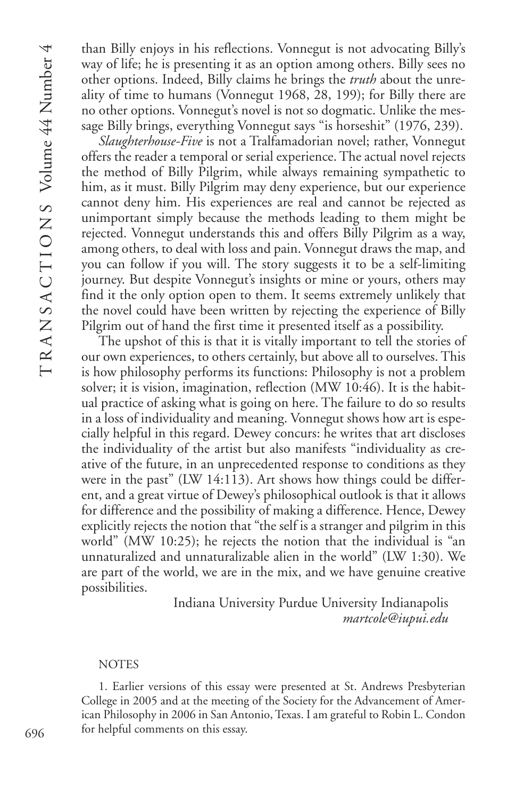than Billy enjoys in his reflections. Vonnegut is not advocating Billy's way of life; he is presenting it as an option among others. Billy sees no other options. Indeed, Billy claims he brings the *truth* about the unreality of time to humans (Vonnegut 1968, 28, 199); for Billy there are no other options. Vonnegut's novel is not so dogmatic. Unlike the message Billy brings, everything Vonnegut says "is horseshit" (1976, 239).

*Slaughterhouse-Five* is not a Tralfamadorian novel; rather, Vonnegut offers the reader a temporal or serial experience. The actual novel rejects the method of Billy Pilgrim, while always remaining sympathetic to him, as it must. Billy Pilgrim may deny experience, but our experience cannot deny him. His experiences are real and cannot be rejected as unimportant simply because the methods leading to them might be rejected. Vonnegut understands this and offers Billy Pilgrim as a way, among others, to deal with loss and pain. Vonnegut draws the map, and you can follow if you will. The story suggests it to be a self-limiting journey. But despite Vonnegut's insights or mine or yours, others may find it the only option open to them. It seems extremely unlikely that the novel could have been written by rejecting the experience of Billy Pilgrim out of hand the first time it presented itself as a possibility.

The upshot of this is that it is vitally important to tell the stories of our own experiences, to others certainly, but above all to ourselves. This is how philosophy performs its functions: Philosophy is not a problem solver; it is vision, imagination, reflection (MW 10:46). It is the habitual practice of asking what is going on here. The failure to do so results in a loss of individuality and meaning. Vonnegut shows how art is especially helpful in this regard. Dewey concurs: he writes that art discloses the individuality of the artist but also manifests "individuality as creative of the future, in an unprecedented response to conditions as they were in the past" (LW 14:113). Art shows how things could be different, and a great virtue of Dewey's philosophical outlook is that it allows for difference and the possibility of making a difference. Hence, Dewey explicitly rejects the notion that "the self is a stranger and pilgrim in this world" (MW 10:25); he rejects the notion that the individual is "an unnaturalized and unnaturalizable alien in the world" (LW 1:30). We are part of the world, we are in the mix, and we have genuine creative possibilities.

> Indiana University Purdue University Indianapolis *martcole@iupui.edu*

#### **NOTES**

1. Earlier versions of this essay were presented at St. Andrews Presbyterian College in 2005 and at the meeting of the Society for the Advancement of American Philosophy in 2006 in San Antonio, Texas. I am grateful to Robin L. Condon for helpful comments on this essay.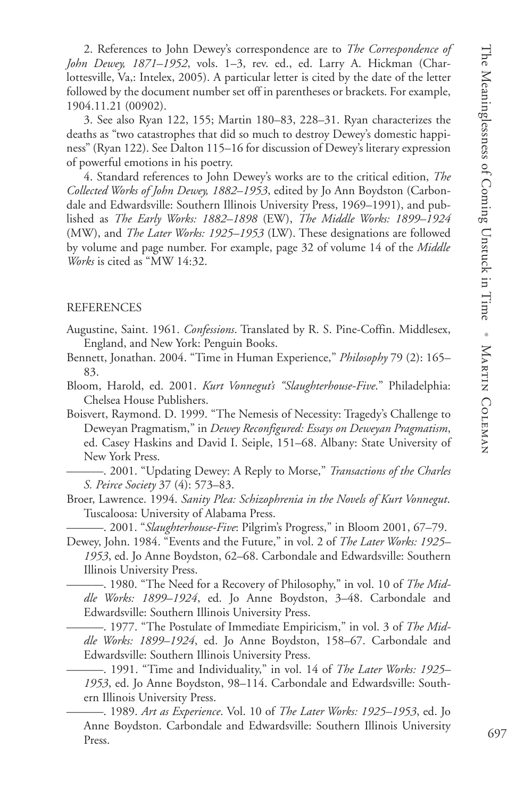2. References to John Dewey's correspondence are to *The Correspondence of John Dewey, 1871–1952*, vols. 1–3, rev. ed., ed. Larry A. Hickman (Charlottesville, Va,: Intelex, 2005). A particular letter is cited by the date of the letter followed by the document number set off in parentheses or brackets. For example, 1904.11.21 (00902).

3. See also Ryan 122, 155; Martin 180–83, 228–31. Ryan characterizes the deaths as "two catastrophes that did so much to destroy Dewey's domestic happiness" (Ryan 122). See Dalton 115–16 for discussion of Dewey's literary expression of powerful emotions in his poetry.

4. Standard references to John Dewey's works are to the critical edition, *The Collected Works of John Dewey, 1882–1953*, edited by Jo Ann Boydston (Carbondale and Edwardsville: Southern Illinois University Press, 1969–1991), and published as *The Early Works: 1882–1898* (EW), *The Middle Works: 1899–1924* (MW), and *The Later Works: 1925–1953* (LW). These designations are followed by volume and page number. For example, page 32 of volume 14 of the *Middle Works* is cited as "MW 14:32.

#### REFERENCES

- Augustine, Saint. 1961. *Confessions*. Translated by R. S. Pine-Coffin. Middlesex, England, and New York: Penguin Books.
- Bennett, Jonathan. 2004. "Time in Human Experience," *Philosophy* 79 (2): 165– 83.
- Bloom, Harold, ed. 2001. *Kurt Vonnegut's "Slaughterhouse-Five*." Philadelphia: Chelsea House Publishers.
- Boisvert, Raymond. D. 1999. "The Nemesis of Necessity: Tragedy's Challenge to Deweyan Pragmatism," in *Dewey Reconfigured: Essays on Deweyan Pragmatism*, ed. Casey Haskins and David I. Seiple, 151–68. Albany: State University of New York Press.
	- ———. 2001. "Updating Dewey: A Reply to Morse," *Transactions of the Charles S. Peirce Society* 37 (4): 573–83.
- Broer, Lawrence. 1994. *Sanity Plea: Schizophrenia in the Novels of Kurt Vonnegut*. Tuscaloosa: University of Alabama Press.

———. 2001. "*Slaughterhouse-Five*: Pilgrim's Progress," in Bloom 2001, 67–79.

Dewey, John. 1984. "Events and the Future," in vol. 2 of *The Later Works: 1925– 1953*, ed. Jo Anne Boydston, 62–68. Carbondale and Edwardsville: Southern Illinois University Press.

———. 1980. "The Need for a Recovery of Philosophy," in vol. 10 of *The Middle Works: 1899–1924*, ed. Jo Anne Boydston, 3–48. Carbondale and Edwardsville: Southern Illinois University Press.

-. 1977. "The Postulate of Immediate Empiricism," in vol. 3 of The Mid*dle Works: 1899–1924*, ed. Jo Anne Boydston, 158–67. Carbondale and Edwardsville: Southern Illinois University Press.

———. 1991. "Time and Individuality," in vol. 14 of *The Later Works: 1925– 1953*, ed. Jo Anne Boydston, 98–114. Carbondale and Edwardsville: Southern Illinois University Press.

———. 1989. *Art as Experience*. Vol. 10 of *The Later Works: 1925–1953*, ed. Jo Anne Boydston. Carbondale and Edwardsville: Southern Illinois University Press.